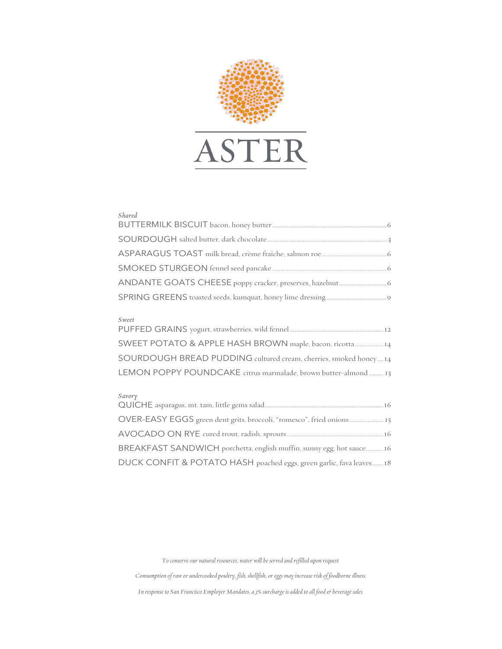

## *Shared*

## *Sweet*

| SWEET POTATO & APPLE HASH BROWN maple, bacon, ricotta 14          |
|-------------------------------------------------------------------|
| SOURDOUGH BREAD PUDDING cultured cream, cherries, smoked honey 14 |
| LEMON POPPY POUNDCAKE citrus marmalade, brown butter-almond  13   |

## *Savory*

| OVER-EASY EGGS green dent grits, broccoli, "romesco", fried onions  15 |
|------------------------------------------------------------------------|
|                                                                        |
| BREAKFAST SANDWICH porchetta, english muffin, sunny egg, hot sauce16   |
| DUCK CONFIT & POTATO HASH poached eggs, green garlic, fava leaves18    |

*To conserve our natural resources, water will be served and refilled upon request.*

*Consumption of raw or undercooked poultry, fish, shellfish, or eggs may increase risk of foodborne illness.*

*In response to San Francisco Employer Mandates, a 3% surcharge is added to all food & beverage sales.*